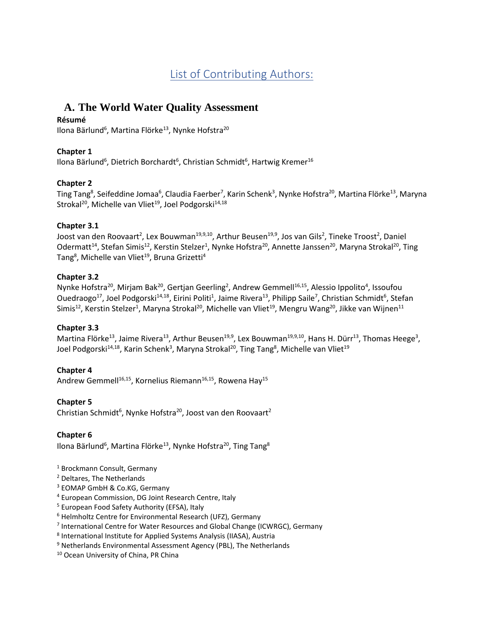# List of Contributing Authors:

## **A. The World Water Quality Assessment**

### **Résumé**

Ilona Bärlund<sup>6</sup>, Martina Flörke<sup>13</sup>, Nynke Hofstra<sup>20</sup>

### **Chapter 1**

Ilona Bärlund<sup>6</sup>, Dietrich Borchardt<sup>6</sup>, Christian Schmidt<sup>6</sup>, Hartwig Kremer<sup>16</sup>

### **Chapter 2**

Ting Tang<sup>8</sup>, Seifeddine Jomaa<sup>6</sup>, Claudia Faerber<sup>7</sup>, Karin Schenk<sup>3</sup>, Nynke Hofstra<sup>20</sup>, Martina Flörke<sup>13</sup>, Maryna Strokal<sup>20</sup>, Michelle van Vliet<sup>19</sup>, Joel Podgorski<sup>14,18</sup>

#### **Chapter 3.1**

Joost van den Roovaart<sup>2</sup>, Lex Bouwman<sup>19,9,10</sup>, Arthur Beusen<sup>19,9</sup>, Jos van Gils<sup>2</sup>, Tineke Troost<sup>2</sup>, Daniel Odermatt<sup>14</sup>, Stefan Simis<sup>12</sup>, Kerstin Stelzer<sup>1</sup>, Nynke Hofstra<sup>20</sup>, Annette Janssen<sup>20</sup>, Maryna Strokal<sup>20</sup>, Ting Tang<sup>8</sup>, Michelle van Vliet<sup>19</sup>, Bruna Grizetti<sup>4</sup>

#### **Chapter 3.2**

Nynke Hofstra<sup>20</sup>, Mirjam Bak<sup>20</sup>, Gertjan Geerling<sup>2</sup>, Andrew Gemmell<sup>16,15</sup>, Alessio Ippolito<sup>4</sup>, Issoufou Ouedraogo<sup>17</sup>, Joel Podgorski<sup>14,18</sup>, Eirini Politi<sup>1</sup>, Jaime Rivera<sup>13</sup>, Philipp Saile<sup>7</sup>, Christian Schmidt<sup>6</sup>, Stefan Simis<sup>12</sup>, Kerstin Stelzer<sup>1</sup>, Maryna Strokal<sup>20</sup>, Michelle van Vliet<sup>19</sup>, Mengru Wang<sup>20</sup>, Jikke van Wijnen<sup>11</sup>

### **Chapter 3.3**

Martina Flörke<sup>13</sup>, Jaime Rivera<sup>13</sup>, Arthur Beusen<sup>19,9</sup>, Lex Bouwman<sup>19,9,10</sup>, Hans H. Dürr<sup>13</sup>, Thomas Heege<sup>3</sup>, Joel Podgorski<sup>14,18</sup>, Karin Schenk<sup>3</sup>, Maryna Strokal<sup>20</sup>, Ting Tang<sup>8</sup>, Michelle van Vliet<sup>19</sup>

### **Chapter 4**

Andrew Gemmell<sup>16,15</sup>, Kornelius Riemann<sup>16,15</sup>, Rowena Hay<sup>15</sup>

### **Chapter 5**

Christian Schmidt<sup>6</sup>, Nynke Hofstra<sup>20</sup>, Joost van den Roovaart<sup>2</sup>

#### **Chapter 6**

Ilona Bärlund<sup>6</sup>, Martina Flörke<sup>13</sup>, Nynke Hofstra<sup>20</sup>, Ting Tang<sup>8</sup>

<sup>1</sup> Brockmann Consult, Germany

- <sup>2</sup> Deltares, The Netherlands
- <sup>3</sup> EOMAP GmbH & Co.KG, Germany
- <sup>4</sup> European Commission, DG Joint Research Centre, Italy
- <sup>5</sup> European Food Safety Authority (EFSA), Italy
- <sup>6</sup> Helmholtz Centre for Environmental Research (UFZ), Germany
- <sup>7</sup> International Centre for Water Resources and Global Change (ICWRGC), Germany
- 8 International Institute for Applied Systems Analysis (IIASA), Austria
- <sup>9</sup> Netherlands Environmental Assessment Agency (PBL), The Netherlands
- <sup>10</sup> Ocean University of China, PR China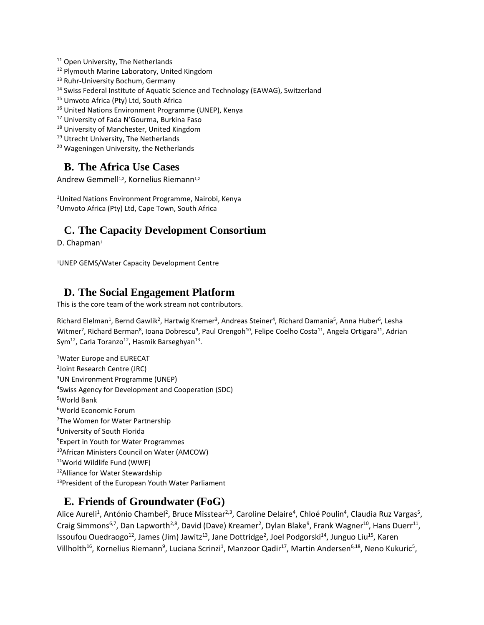<sup>11</sup> Open University, The Netherlands

- <sup>12</sup> Plymouth Marine Laboratory, United Kingdom
- <sup>13</sup> Ruhr-University Bochum, Germany
- <sup>14</sup> Swiss Federal Institute of Aquatic Science and Technology (EAWAG), Switzerland
- <sup>15</sup> Umvoto Africa (Pty) Ltd, South Africa
- <sup>16</sup> United Nations Environment Programme (UNEP), Kenya
- <sup>17</sup> University of Fada N'Gourma, Burkina Faso
- 18 University of Manchester, United Kingdom
- <sup>19</sup> Utrecht University, The Netherlands
- <sup>20</sup> Wageningen University, the Netherlands

## **B. The Africa Use Cases**

Andrew Gemmell<sup>1,2</sup>, Kornelius Riemann<sup>1,2</sup>

<sup>1</sup>United Nations Environment Programme, Nairobi, Kenya <sup>2</sup>Umvoto Africa (Pty) Ltd, Cape Town, South Africa

### **C. The Capacity Development Consortium**

D. Chapman<sup>1</sup>

<sup>1</sup>UNEP GEMS/Water Capacity Development Centre

## **D. The Social Engagement Platform**

This is the core team of the work stream not contributors.

Richard Elelman<sup>1</sup>, Bernd Gawlik<sup>2</sup>, Hartwig Kremer<sup>3</sup>, Andreas Steiner<sup>4</sup>, Richard Damania<sup>5</sup>, Anna Huber<sup>6</sup>, Lesha Witmer<sup>7</sup>, Richard Berman<sup>8</sup>, Ioana Dobrescu<sup>9</sup>, Paul Orengoh<sup>10</sup>, Felipe Coelho Costa<sup>11</sup>, Angela Ortigara<sup>11</sup>, Adrian Sym<sup>12</sup>, Carla Toranzo<sup>12</sup>, Hasmik Barseghyan<sup>13</sup>.

Water Europe and EURECAT Joint Research Centre (JRC) UN Environment Programme (UNEP) Swiss Agency for Development and Cooperation (SDC) World Bank World Economic Forum <sup>7</sup>The Women for Water Partnership University of South Florida Expert in Youth for Water Programmes African Ministers Council on Water (AMCOW) World Wildlife Fund (WWF) Alliance for Water Stewardship <sup>13</sup>President of the European Youth Water Parliament

### **E. Friends of Groundwater (FoG)**

Alice Aureli<sup>1</sup>, António Chambel<sup>2</sup>, Bruce Misstear<sup>2,3</sup>, Caroline Delaire<sup>4</sup>, Chloé Poulin<sup>4</sup>, Claudia Ruz Vargas<sup>5</sup>, Craig Simmons<sup>6,7</sup>, Dan Lapworth<sup>2,8</sup>, David (Dave) Kreamer<sup>2</sup>, Dylan Blake<sup>9</sup>, Frank Wagner<sup>10</sup>, Hans Duerr<sup>11</sup>, Issoufou Ouedraogo<sup>12</sup>, James (Jim) Jawitz<sup>13</sup>, Jane Dottridge<sup>2</sup>, Joel Podgorski<sup>14</sup>, Junguo Liu<sup>15</sup>, Karen Villholth<sup>16</sup>, Kornelius Riemann<sup>9</sup>, Luciana Scrinzi<sup>1</sup>, Manzoor Qadir<sup>17</sup>, Martin Andersen<sup>6,18</sup>, Neno Kukuric<sup>5</sup>,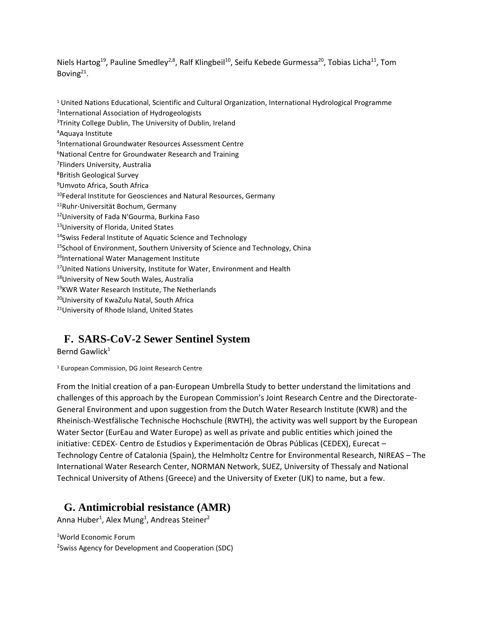Niels Hartog<sup>19</sup>, Pauline Smedley<sup>2,8</sup>, Ralf Klingbeil<sup>10</sup>, Seifu Kebede Gurmessa<sup>20</sup>, Tobias Licha<sup>11</sup>, Tom Boving<sup>21</sup>.

<sup>1</sup> United Nations Educational, Scientific and Cultural Organization, International Hydrological Programme 2 International Association of Hydrogeologists <sup>3</sup>Trinity College Dublin, The University of Dublin, Ireland <sup>4</sup>Aquaya Institute 5 International Groundwater Resources Assessment Centre <sup>6</sup>National Centre for Groundwater Research and Training 7 Flinders University, Australia <sup>8</sup>British Geological Survey <sup>9</sup>Umvoto Africa, South Africa <sup>10</sup>Federal Institute for Geosciences and Natural Resources, Germany <sup>11</sup>Ruhr-Universität Bochum, Germany <sup>12</sup>University of Fada N'Gourma, Burkina Faso <sup>13</sup>University of Florida, United States <sup>14</sup>Swiss Federal Institute of Aquatic Science and Technology <sup>15</sup>School of Environment, Southern University of Science and Technology, China <sup>16</sup>International Water Management Institute <sup>17</sup>United Nations University, Institute for Water, Environment and Health 18University of New South Wales, Australia <sup>19</sup>KWR Water Research Institute, The Netherlands <sup>20</sup>University of KwaZulu Natal, South Africa

<sup>21</sup>University of Rhode Island, United States

### **F. SARS-CoV-2 Sewer Sentinel System**

Bernd Gawlick<sup>1</sup>

<sup>1</sup> European Commission, DG Joint Research Centre

From the Initial creation of a pan-European Umbrella Study to better understand the limitations and challenges of this approach by the European Commission's Joint Research Centre and the Directorate-General Environment and upon suggestion from the Dutch Water Research Institute (KWR) and the Rheinisch-Westfälische Technische Hochschule (RWTH), the activity was well support by the European Water Sector (EurEau and Water Europe) as well as private and public entities which joined the initiative: CEDEX- Centro de Estudios y Experimentación de Obras Públicas (CEDEX), Eurecat – Technology Centre of Catalonia (Spain), the Helmholtz Centre for Environmental Research, NIREAS – The International Water Research Center, NORMAN Network, SUEZ, University of Thessaly and National Technical University of Athens (Greece) and the University of Exeter (UK) to name, but a few.

## **G. Antimicrobial resistance (AMR)**

Anna Huber<sup>1</sup>, Alex Mung<sup>1</sup>, Andreas Steiner<sup>2</sup>

<sup>1</sup>World Economic Forum <sup>2</sup>Swiss Agency for Development and Cooperation (SDC)